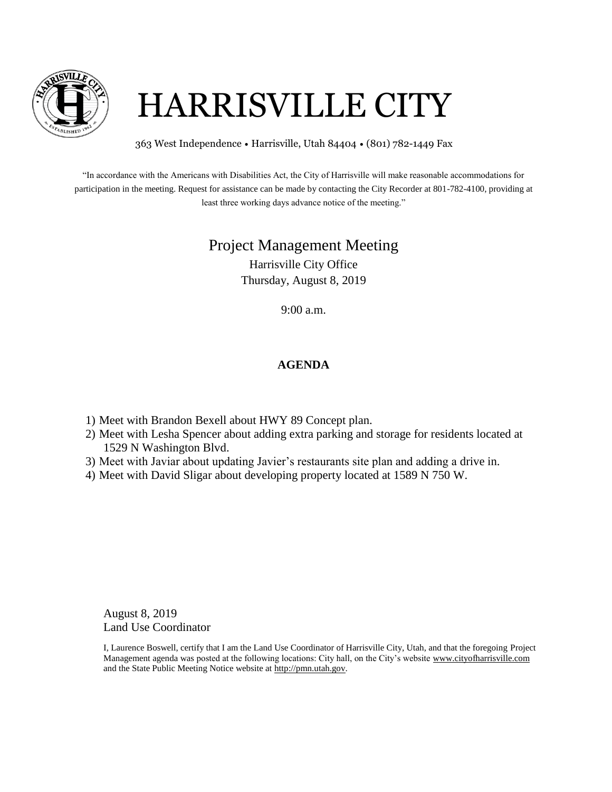

## HARRISVILLE CITY

363 West Independence • Harrisville, Utah 84404 • (801) 782-1449 Fax

"In accordance with the Americans with Disabilities Act, the City of Harrisville will make reasonable accommodations for participation in the meeting. Request for assistance can be made by contacting the City Recorder at 801-782-4100, providing at least three working days advance notice of the meeting."

## Project Management Meeting

Harrisville City Office Thursday, August 8, 2019

9:00 a.m.

## **AGENDA**

- 1) Meet with Brandon Bexell about HWY 89 Concept plan.
- 2) Meet with Lesha Spencer about adding extra parking and storage for residents located at 1529 N Washington Blvd.
- 3) Meet with Javiar about updating Javier's restaurants site plan and adding a drive in.
- 4) Meet with David Sligar about developing property located at 1589 N 750 W.

August 8, 2019 Land Use Coordinator

I, Laurence Boswell, certify that I am the Land Use Coordinator of Harrisville City, Utah, and that the foregoing Project Management agenda was posted at the following locations: City hall, on the City's website www.cityofharrisville.com and the State Public Meeting Notice website at http://pmn.utah.gov.